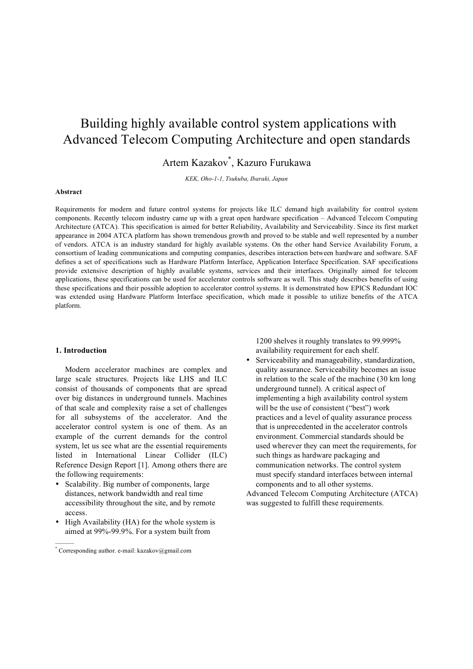# Building highly available control system applications with Advanced Telecom Computing Architecture and open standards

## Artem Kazakov\* , Kazuro Furukawa

*KEK, Oho-1-1, Tsukuba, Ibaraki, Japan*

#### **Abstract**

Requirements for modern and future control systems for projects like ILC demand high availability for control system components. Recently telecom industry came up with a great open hardware specification – Advanced Telecom Computing Architecture (ATCA). This specification is aimed for better Reliability, Availability and Serviceability. Since its first market appearance in 2004 ATCA platform has shown tremendous growth and proved to be stable and well represented by a number of vendors. ATCA is an industry standard for highly available systems. On the other hand Service Availability Forum, a consortium of leading communications and computing companies, describes interaction between hardware and software. SAF defines a set of specifications such as Hardware Platform Interface, Application Interface Specification. SAF specifications provide extensive description of highly available systems, services and their interfaces. Originally aimed for telecom applications, these specifications can be used for accelerator controls software as well. This study describes benefits of using these specifications and their possible adoption to accelerator control systems. It is demonstrated how EPICS Redundant IOC was extended using Hardware Platform Interface specification, which made it possible to utilize benefits of the ATCA platform.

#### **1. Introduction**

———

Modern accelerator machines are complex and large scale structures. Projects like LHS and ILC consist of thousands of components that are spread over big distances in underground tunnels. Machines of that scale and complexity raise a set of challenges for all subsystems of the accelerator. And the accelerator control system is one of them. As an example of the current demands for the control system, let us see what are the essential requirements listed in International Linear Collider (ILC) Reference Design Report [1]. Among others there are the following requirements:

- Scalability. Big number of components, large distances, network bandwidth and real time accessibility throughout the site, and by remote access.
- High Availability (HA) for the whole system is aimed at 99%-99.9%. For a system built from

1200 shelves it roughly translates to 99.999% availability requirement for each shelf.

• Serviceability and manageability, standardization, quality assurance. Serviceability becomes an issue in relation to the scale of the machine (30 km long underground tunnel). A critical aspect of implementing a high availability control system will be the use of consistent ("best") work practices and a level of quality assurance process that is unprecedented in the accelerator controls environment. Commercial standards should be used wherever they can meet the requirements, for such things as hardware packaging and communication networks. The control system must specify standard interfaces between internal components and to all other systems.

Advanced Telecom Computing Architecture (ATCA) was suggested to fulfill these requirements.

<sup>\*</sup> Corresponding author. e-mail: kazakov@gmail.com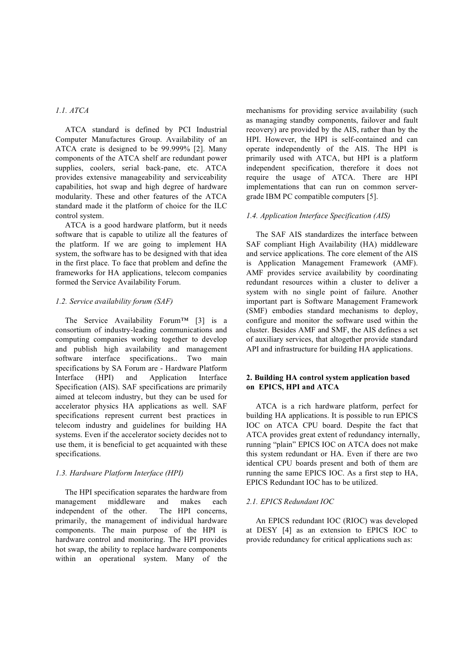## *1.1. ATCA*

ATCA standard is defined by PCI Industrial Computer Manufactures Group. Availability of an ATCA crate is designed to be 99.999% [2]. Many components of the ATCA shelf are redundant power supplies, coolers, serial back-pane, etc. ATCA provides extensive manageability and serviceability capabilities, hot swap and high degree of hardware modularity. These and other features of the ATCA standard made it the platform of choice for the ILC control system.

ATCA is a good hardware platform, but it needs software that is capable to utilize all the features of the platform. If we are going to implement HA system, the software has to be designed with that idea in the first place. To face that problem and define the frameworks for HA applications, telecom companies formed the Service Availability Forum.

## *1.2. Service availability forum (SAF)*

The Service Availability Forum™ [3] is a consortium of industry-leading communications and computing companies working together to develop and publish high availability and management software interface specifications.. Two main specifications by SA Forum are - Hardware Platform Interface (HPI) and Application Interface Specification (AIS). SAF specifications are primarily aimed at telecom industry, but they can be used for accelerator physics HA applications as well. SAF specifications represent current best practices in telecom industry and guidelines for building HA systems. Even if the accelerator society decides not to use them, it is beneficial to get acquainted with these specifications.

#### *1.3. Hardware Platform Interface (HPI)*

The HPI specification separates the hardware from management middleware and makes each independent of the other. The HPI concerns primarily, the management of individual hardware components. The main purpose of the HPI is hardware control and monitoring. The HPI provides hot swap, the ability to replace hardware components within an operational system. Many of the mechanisms for providing service availability (such as managing standby components, failover and fault recovery) are provided by the AIS, rather than by the HPI. However, the HPI is self-contained and can operate independently of the AIS. The HPI is primarily used with ATCA, but HPI is a platform independent specification, therefore it does not require the usage of ATCA. There are HPI implementations that can run on common servergrade IBM PC compatible computers [5].

#### *1.4. Application Interface Specification (AIS)*

The SAF AIS standardizes the interface between SAF compliant High Availability (HA) middleware and service applications. The core element of the AIS is Application Management Framework (AMF). AMF provides service availability by coordinating redundant resources within a cluster to deliver a system with no single point of failure. Another important part is Software Management Framework (SMF) embodies standard mechanisms to deploy, configure and monitor the software used within the cluster. Besides AMF and SMF, the AIS defines a set of auxiliary services, that altogether provide standard API and infrastructure for building HA applications.

## **2. Building HA control system application based on EPICS, HPI and ATCA**

ATCA is a rich hardware platform, perfect for building HA applications. It is possible to run EPICS IOC on ATCA CPU board. Despite the fact that ATCA provides great extent of redundancy internally, running "plain" EPICS IOC on ATCA does not make this system redundant or HA. Even if there are two identical CPU boards present and both of them are running the same EPICS IOC. As a first step to HA, EPICS Redundant IOC has to be utilized.

#### *2.1. EPICS Redundant IOC*

An EPICS redundant IOC (RIOC) was developed at DESY [4] as an extension to EPICS IOC to provide redundancy for critical applications such as: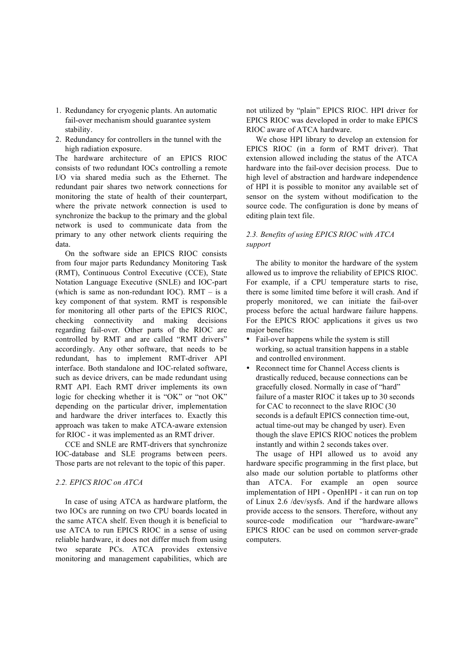- 1. Redundancy for cryogenic plants. An automatic fail-over mechanism should guarantee system stability.
- 2. Redundancy for controllers in the tunnel with the high radiation exposure.

The hardware architecture of an EPICS RIOC consists of two redundant IOCs controlling a remote I/O via shared media such as the Ethernet. The redundant pair shares two network connections for monitoring the state of health of their counterpart, where the private network connection is used to synchronize the backup to the primary and the global network is used to communicate data from the primary to any other network clients requiring the data.

On the software side an EPICS RIOC consists from four major parts Redundancy Monitoring Task (RMT), Continuous Control Executive (CCE), State Notation Language Executive (SNLE) and IOC-part (which is same as non-redundant IOC). RMT – is a key component of that system. RMT is responsible for monitoring all other parts of the EPICS RIOC, checking connectivity and making decisions regarding fail-over. Other parts of the RIOC are controlled by RMT and are called "RMT drivers" accordingly. Any other software, that needs to be redundant, has to implement RMT-driver API interface. Both standalone and IOC-related software, such as device drivers, can be made redundant using RMT API. Each RMT driver implements its own logic for checking whether it is "OK" or "not OK" depending on the particular driver, implementation and hardware the driver interfaces to. Exactly this approach was taken to make ATCA-aware extension for RIOC - it was implemented as an RMT driver.

CCE and SNLE are RMT-drivers that synchronize IOC-database and SLE programs between peers. Those parts are not relevant to the topic of this paper.

#### *2.2. EPICS RIOC on ATCA*

In case of using ATCA as hardware platform, the two IOCs are running on two CPU boards located in the same ATCA shelf. Even though it is beneficial to use ATCA to run EPICS RIOC in a sense of using reliable hardware, it does not differ much from using two separate PCs. ATCA provides extensive monitoring and management capabilities, which are not utilized by "plain" EPICS RIOC. HPI driver for EPICS RIOC was developed in order to make EPICS RIOC aware of ATCA hardware.

We chose HPI library to develop an extension for EPICS RIOC (in a form of RMT driver). That extension allowed including the status of the ATCA hardware into the fail-over decision process. Due to high level of abstraction and hardware independence of HPI it is possible to monitor any available set of sensor on the system without modification to the source code. The configuration is done by means of editing plain text file.

## *2.3. Benefits of using EPICS RIOC with ATCA support*

The ability to monitor the hardware of the system allowed us to improve the reliability of EPICS RIOC. For example, if a CPU temperature starts to rise, there is some limited time before it will crash. And if properly monitored, we can initiate the fail-over process before the actual hardware failure happens. For the EPICS RIOC applications it gives us two major benefits:

- Fail-over happens while the system is still working, so actual transition happens in a stable and controlled environment.
- Reconnect time for Channel Access clients is drastically reduced, because connections can be gracefully closed. Normally in case of "hard" failure of a master RIOC it takes up to 30 seconds for CAC to reconnect to the slave RIOC (30 seconds is a default EPICS connection time-out, actual time-out may be changed by user). Even though the slave EPICS RIOC notices the problem instantly and within 2 seconds takes over.

The usage of HPI allowed us to avoid any hardware specific programming in the first place, but also made our solution portable to platforms other than ATCA. For example an open source implementation of HPI - OpenHPI - it can run on top of Linux 2.6 /dev/sysfs. And if the hardware allows provide access to the sensors. Therefore, without any source-code modification our "hardware-aware" EPICS RIOC can be used on common server-grade computers.